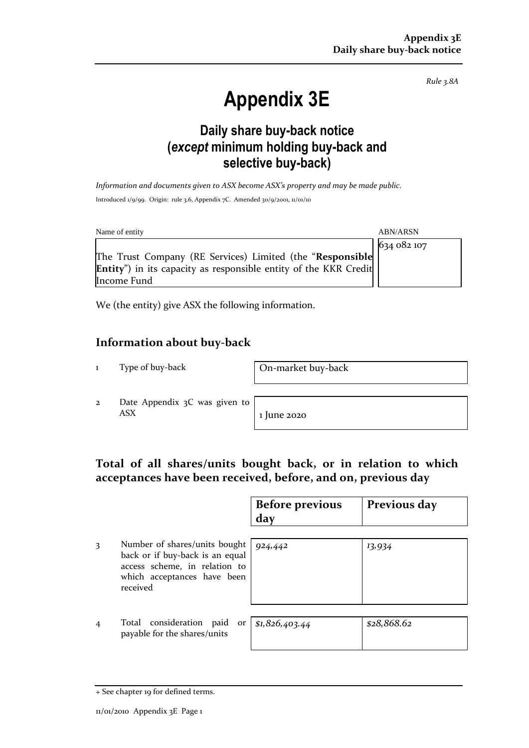*Rule 3.8A*

# **Appendix 3E**

# **Daily share buy-back notice (***except* **minimum holding buy-back and selective buy-back)**

*Information and documents given to ASX become ASX's property and may be made public.* Introduced 1/9/99. Origin: rule 3.6, Appendix 7C. Amended 30/9/2001, 11/01/10

| Name of entity                                                           | <b>ABN/ARSN</b> |
|--------------------------------------------------------------------------|-----------------|
|                                                                          | 634 082 107     |
| The Trust Company (RE Services) Limited (the "Responsible                |                 |
| <b>Entity</b> ") in its capacity as responsible entity of the KKR Credit |                 |
| Income Fund                                                              |                 |

We (the entity) give ASX the following information.

### **Information about buy-back**

1 Type of buy-back On-market buy-back

2 Date Appendix 3C was given to  $\overline{ABX}$  1 June 2020

## **Total of all shares/units bought back, or in relation to which acceptances have been received, before, and on, previous day**

|   |                                                                                                                                              | <b>Before previous</b><br>day | Previous day |
|---|----------------------------------------------------------------------------------------------------------------------------------------------|-------------------------------|--------------|
|   | Number of shares/units bought<br>back or if buy-back is an equal<br>access scheme, in relation to<br>which acceptances have been<br>received | 924,442                       | 13,934       |
| 4 | Total consideration<br>paid or<br>payable for the shares/units                                                                               | \$1,826,403.44                | \$28,868.62  |

<sup>+</sup> See chapter 19 for defined terms.